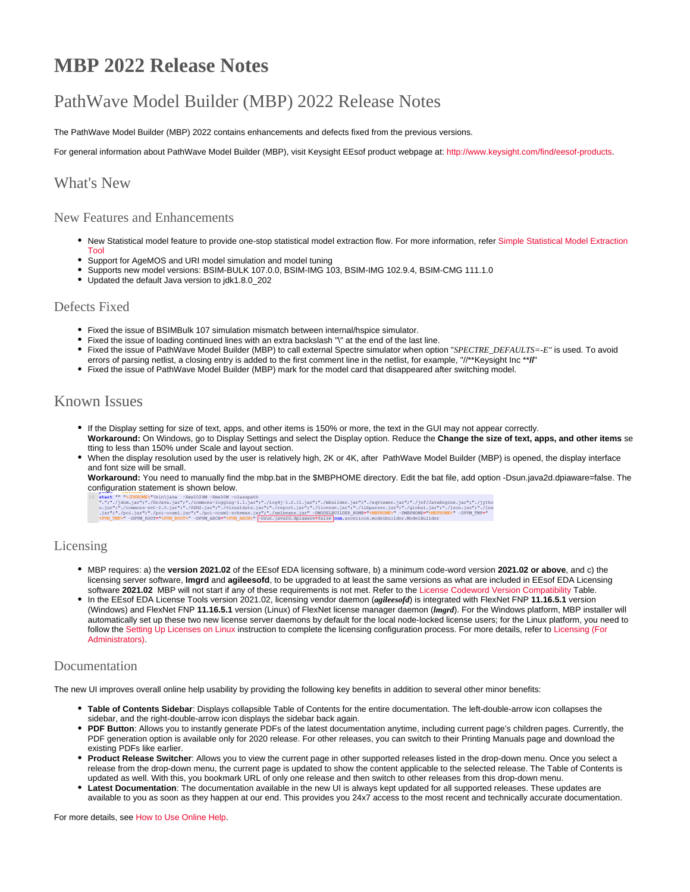# **MBP 2022 Release Notes**

# PathWave Model Builder (MBP) 2022 Release Notes

The PathWave Model Builder (MBP) 2022 contains enhancements and defects fixed from the previous versions.

For general information about PathWave Model Builder (MBP), visit Keysight EEsof product webpage at:<http://www.keysight.com/find/eesof-products>.

### What's New

#### New Features and Enhancements

- . New Statistical model feature to provide one-stop statistical model extraction flow. For more information, refer Simple Statistical Model Extraction [Tool](https://edadocs.software.keysight.com/display/mbp2022/Simple+Statistical+Model+Extraction+Tool)
- Support for AgeMOS and URI model simulation and model tuning
- Supports new model versions: BSIM-BULK 107.0.0, BSIM-IMG 103, BSIM-IMG 102.9.4, BSIM-CMG 111.1.0
- Updated the default Java version to jdk1.8.0\_202

#### Defects Fixed

- Fixed the issue of BSIMBulk 107 simulation mismatch between internal/hspice simulator.
- Fixed the issue of loading continued lines with an extra backslash "\" at the end of the last line.
- Fixed the issue of PathWave Model Builder (MBP) to call external Spectre simulator when option "*SPECTRE\_DEFAULTS=-E"* is used. To avoid
- errors of parsing netlist, a closing entry is added to the first comment line in the netlist, for example, "//\*\*Keysight Inc \*\***//**"
- Fixed the issue of PathWave Model Builder (MBP) mark for the model card that disappeared after switching model.

## Known Issues

- If the Display setting for size of text, apps, and other items is 150% or more, the text in the GUI may not appear correctly. **Workaround:** On Windows, go to Display Settings and select the Display option. Reduce the **Change the size of text, apps, and other items** se tting to less than 150% under Scale and layout section.
- When the display resolution used by the user is relatively high, 2K or 4K, after PathWave Model Builder (MBP) is opened, the display interface and font size will be small.

**Workaround:** You need to manually find the mbp.bat in the \$MBPHOME directory. Edit the bat file, add option -Dsun.java2d.dpiaware=false. The

configuration statement is shown below.

#### Licensing

- MBP requires: a) the **version 2021.02** of the EEsof EDA licensing software, b) a minimum code-word version **2021.02 or above**, and c) the licensing server software, **lmgrd** and **agileesofd**, to be upgraded to at least the same versions as what are included in EEsof EDA Licensing software **2021.02** MBP will not start if any of these requirements is not met. Refer to the [License Codeword Version Compatibility](https://edadocs.software.keysight.com/display/mbp2022/License+Codeword+Version+Compatibility) Table.
- In the EEsof EDA License Tools version 2021.02, licensing vendor daemon (*agileesofd*) is integrated with FlexNet FNP **11.16.5.1** version (Windows) and FlexNet FNP **11.16.5.1** version (Linux) of FlexNet license manager daemon (*lmgrd*). For the Windows platform, MBP installer will automatically set up these two new license server daemons by default for the local node-locked license users; for the Linux platform, you need to follow the [Setting Up Licenses on Linux](https://edadocs.software.keysight.com/display/mbp2022/Setting+Up+Licenses+on+Linux) instruction to complete the licensing configuration process. For more details, refer to [Licensing \(For](https://edadocs.software.keysight.com/pages/viewpage.action?pageId=648210253)  [Administrators\)](https://edadocs.software.keysight.com/pages/viewpage.action?pageId=648210253).

#### Documentation

The new UI improves overall online help usability by providing the following key benefits in addition to several other minor benefits:

- **Table of Contents Sidebar**: Displays collapsible Table of Contents for the entire documentation. The left-double-arrow icon collapses the sidebar, and the right-double-arrow icon displays the sidebar back again.
- **PDF Button**: Allows you to instantly generate PDFs of the latest documentation anytime, including current page's children pages. Currently, the PDF generation option is available only for 2020 release. For other releases, you can switch to their Printing Manuals page and download the existing PDFs like earlier.
- **Product Release Switcher**: Allows you to view the current page in other supported releases listed in the drop-down menu. Once you select a release from the drop-down menu, the current page is updated to show the content applicable to the selected release. The Table of Contents is updated as well. With this, you bookmark URL of only one release and then switch to other releases from this drop-down menu.
- **Latest Documentation**: The documentation available in the new UI is always kept updated for all supported releases. These updates are available to you as soon as they happen at our end. This provides you 24x7 access to the most recent and technically accurate documentation.

For more details, see [How to Use Online Help.](https://edadocs.software.keysight.com/pages/viewpage.action?pageId=648213157)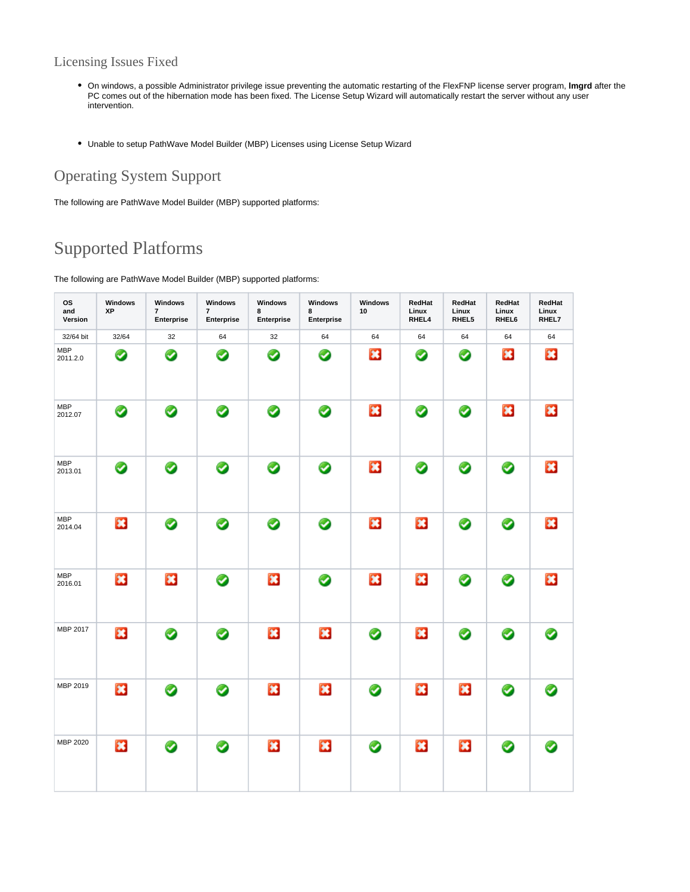### Licensing Issues Fixed

- On windows, a possible Administrator privilege issue preventing the automatic restarting of the FlexFNP license server program, **lmgrd** after the PC comes out of the hibernation mode has been fixed. The License Setup Wizard will automatically restart the server without any user intervention.
- Unable to setup PathWave Model Builder (MBP) Licenses using License Setup Wizard

## Operating System Support

The following are PathWave Model Builder (MBP) supported platforms:

## Supported Platforms

The following are PathWave Model Builder (MBP) supported platforms:

| <b>OS</b><br>and<br>Version | Windows<br>ΧP | Windows<br>$\overline{\mathbf{r}}$<br>Enterprise | Windows<br>7<br>Enterprise | Windows<br>8<br>Enterprise | Windows<br>8<br>Enterprise | Windows<br>10           | RedHat<br>Linux<br>RHEL4 | RedHat<br>Linux<br>RHEL5 | RedHat<br>Linux<br>RHEL6 | RedHat<br>Linux<br>RHEL7 |
|-----------------------------|---------------|--------------------------------------------------|----------------------------|----------------------------|----------------------------|-------------------------|--------------------------|--------------------------|--------------------------|--------------------------|
| 32/64 bit                   | 32/64         | 32                                               | 64                         | 32                         | 64                         | 64                      | 64                       | 64                       | 64                       | 64                       |
| <b>MBP</b><br>2011.2.0      | ◙             | ◙                                                | Ø                          | ◙                          | ◙                          | 誌                       | ◙                        | ◙                        | B                        | $\ast$                   |
| <b>MBP</b><br>2012.07       | ◙             | ◙                                                | ◙                          | ◙                          | ◙                          | $\mathbf{R}$            | ◙                        | ◙                        | $\ast$                   | $\ast$                   |
| <b>MBP</b><br>2013.01       | ◙             | ⊘                                                | ◙                          | ◙                          | ◙                          | $\ast$                  | ◙                        | ◙                        | ◙                        | 実                        |
| <b>MBP</b><br>2014.04       | ×             | ◙                                                | ◙                          | ◙                          | ◙                          | $\mathbf{x}$            | ×                        | ◙                        | ◙                        | $\overline{\mathbf{x}}$  |
| <b>MBP</b><br>2016.01       | 其             | $\ast$                                           | ◙                          | $\mathbf{a}$               | ◙                          | $\overline{\mathbf{x}}$ | $\ast$                   | ◙                        | ◙                        | $\overline{\mathbf{x}}$  |
| MBP 2017                    | ×             | ◙                                                | ⊘                          | $\mathbf{X}$               | $\ast$                     | ⊘                       | $\ast$                   | ◙                        | ◙                        | ◚                        |
| MBP 2019                    | ×             | ◙                                                | ◙                          | B                          | ×                          | ◙                       | $\mathbf{x}$             | ×                        | ◙                        |                          |
| MBP 2020                    | $\mathbf{x}$  | ◙                                                | ◙                          | ×                          | $\ast$                     | ◙                       | 其                        | ×                        | ◙                        |                          |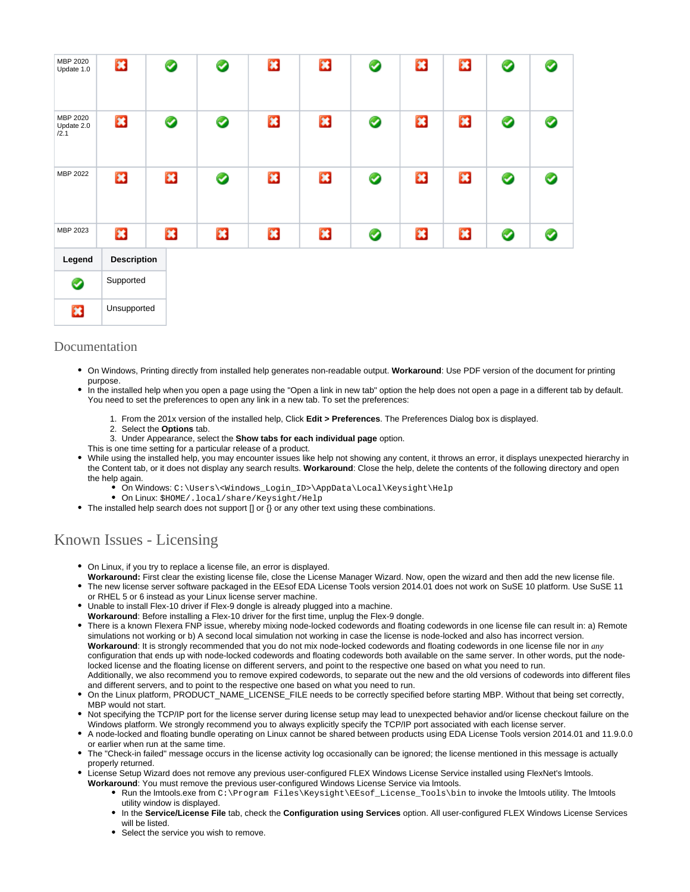| MBP 2020<br>Update 1.0         | $\mathbf{x}$       | ◙ | ◙ | 其 | $\mathbf{a}$ |   | 露            | 試                         | ◙         | ⊘ |
|--------------------------------|--------------------|---|---|---|--------------|---|--------------|---------------------------|-----------|---|
| MBP 2020<br>Update 2.0<br>/2.1 | ×                  | ◙ | ◎ | × | $\mathbf{z}$ | ◉ | B            | $\boldsymbol{\mathbb{E}}$ | ◙         | ◙ |
| MBP 2022                       | ×                  | × | ◙ | × | $\mathbf{z}$ | ◙ | $\mathbf{z}$ | $\boldsymbol{\mathbb{E}}$ | ◙         | ❷ |
| MBP 2023                       | ×                  | × | × | × | ×            | ◉ | $\mathbf{z}$ | ×                         | $\bullet$ | ◙ |
| Legend                         | <b>Description</b> |   |   |   |              |   |              |                           |           |   |
| ◙                              | Supported          |   |   |   |              |   |              |                           |           |   |
| B                              | Unsupported        |   |   |   |              |   |              |                           |           |   |

#### Documentation

- On Windows, Printing directly from installed help generates non-readable output. **Workaround**: Use PDF version of the document for printing purpose.
- In the installed help when you open a page using the "Open a link in new tab" option the help does not open a page in a different tab by default. You need to set the preferences to open any link in a new tab. To set the preferences:
	- 1. From the 201x version of the installed help, Click **Edit > Preferences**. The Preferences Dialog box is displayed.
	- 2. Select the **Options** tab.
	- 3. Under Appearance, select the **Show tabs for each individual page** option.
	- This is one time setting for a particular release of a product.
- While using the installed help, you may encounter issues like help not showing any content, it throws an error, it displays unexpected hierarchy in the Content tab, or it does not display any search results. **Workaround**: Close the help, delete the contents of the following directory and open the help again.
	- On Windows: C:\Users\<Windows\_Login\_ID>\AppData\Local\Keysight\Help
	- On Linux: \$HOME/.local/share/Keysight/Help
- $\bullet$  The installed help search does not support [] or  $\{\}$  or any other text using these combinations.

## Known Issues - Licensing

- On Linux, if you try to replace a license file, an error is displayed.
- **Workaround:** First clear the existing license file, close the License Manager Wizard. Now, open the wizard and then add the new license file. • The new license server software packaged in the EEsof EDA License Tools version 2014.01 does not work on SuSE 10 platform. Use SuSE 11
- or RHEL 5 or 6 instead as your Linux license server machine.
- Unable to install Flex-10 driver if Flex-9 dongle is already plugged into a machine.
- **Workaround**: Before installing a Flex-10 driver for the first time, unplug the Flex-9 dongle.

There is a known Flexera FNP issue, whereby mixing node-locked codewords and floating codewords in one license file can result in: a) Remote simulations not working or b) A second local simulation not working in case the license is node-locked and also has incorrect version. **Workaround**: It is strongly recommended that you do not mix node-locked codewords and floating codewords in one license file nor in *any* configuration that ends up with node-locked codewords and floating codewords both available on the same server. In other words, put the nodelocked license and the floating license on different servers, and point to the respective one based on what you need to run. Additionally, we also recommend you to remove expired codewords, to separate out the new and the old versions of codewords into different files and different servers, and to point to the respective one based on what you need to run.

- On the Linux platform, PRODUCT\_NAME\_LICENSE\_FILE needs to be correctly specified before starting MBP. Without that being set correctly, MBP would not start.
- Not specifying the TCP/IP port for the license server during license setup may lead to unexpected behavior and/or license checkout failure on the Windows platform. We strongly recommend you to always explicitly specify the TCP/IP port associated with each license server.
- A node-locked and floating bundle operating on Linux cannot be shared between products using EDA License Tools version 2014.01 and 11.9.0.0 or earlier when run at the same time.
- The "Check-in failed" message occurs in the license activity log occasionally can be ignored; the license mentioned in this message is actually properly returned.
- License Setup Wizard does not remove any previous user-configured FLEX Windows License Service installed using FlexNet's lmtools.
- **Workaround**: You must remove the previous user-configured Windows License Service via lmtools.
	- Run the lmtools.exe from C:\Program Files\Keysight\EEsof\_License\_Tools\bin to invoke the lmtools utility. The lmtools utility window is displayed.
	- In the **Service/License File** tab, check the **Configuration using Services** option. All user-configured FLEX Windows License Services will be listed.
	- Select the service you wish to remove.